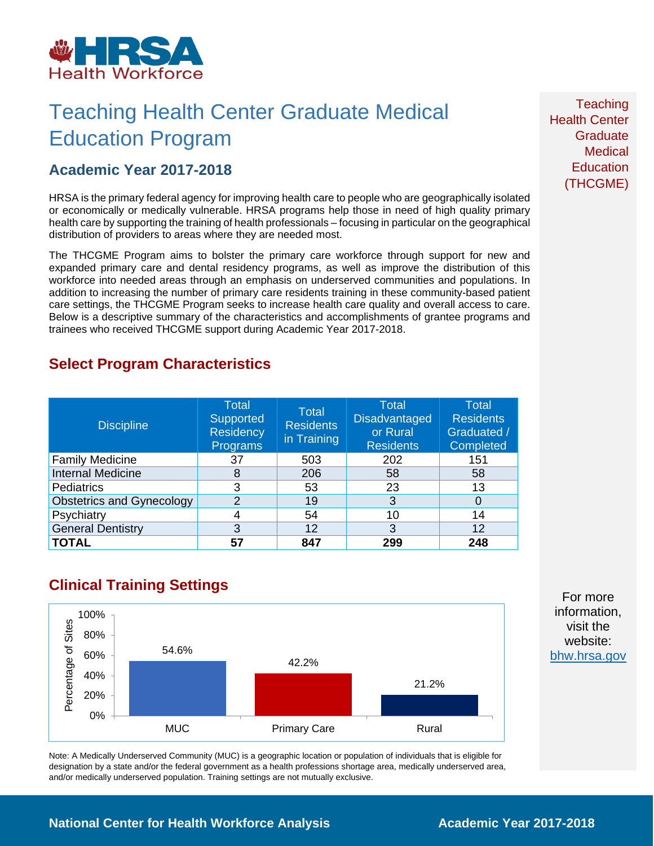

## Teaching Health Center Graduate Medical Education Program

### **Academic Year 2017-2018**

HRSA is the primary federal agency for improving health care to people who are geographically isolated or economically or medically vulnerable. HRSA programs help those in need of high quality primary health care by supporting the training of health professionals – focusing in particular on the geographical distribution of providers to areas where they are needed most.

The THCGME Program aims to bolster the primary care workforce through support for new and expanded primary care and dental residency programs, as well as improve the distribution of this workforce into needed areas through an emphasis on underserved communities and populations. In addition to increasing the number of primary care residents training in these community-based patient care settings, the THCGME Program seeks to increase health care quality and overall access to care. Below is a descriptive summary of the characteristics and accomplishments of grantee programs and trainees who received THCGME support during Academic Year 2017-2018.

### **Select Program Characteristics**

| <b>Discipline</b>                | <b>Total</b><br>Supported<br><b>Residency</b><br>Programs | Total<br><b>Residents</b><br>in Training | <b>Total</b><br><b>Disadvantaged</b><br>or Rural<br><b>Residents</b> | <b>Total</b><br><b>Residents</b><br>Graduated /<br>Completed |
|----------------------------------|-----------------------------------------------------------|------------------------------------------|----------------------------------------------------------------------|--------------------------------------------------------------|
| <b>Family Medicine</b>           | 37                                                        | 503                                      | 202                                                                  | 151                                                          |
| <b>Internal Medicine</b>         | 8                                                         | 206                                      | 58                                                                   | 58                                                           |
| Pediatrics                       | 3                                                         | 53                                       | 23                                                                   | 13                                                           |
| <b>Obstetrics and Gynecology</b> | 2                                                         | 19                                       | 3                                                                    |                                                              |
| Psychiatry                       |                                                           | 54                                       | 10                                                                   | 14                                                           |
| <b>General Dentistry</b>         | 3                                                         | 12                                       | 3                                                                    | 12                                                           |
| <b>TOTAL</b>                     | 57                                                        | 847                                      | 299                                                                  | 248                                                          |

## **Clinical Training Settings**



Note: A Medically Underserved Community (MUC) is a geographic location or population of individuals that is eligible for designation by a state and/or the federal government as a health professions shortage area, medically underserved area, and/or medically underserved population. Training settings are not mutually exclusive.

**Teaching** Health Center **Graduate Medical Education** (THCGME)

For more information, visit the website: [bhw.hrsa.gov](http://bhw.hrsa.gov/)

**National Center for Health Workforce Analysis Mational Center 2017-2018**